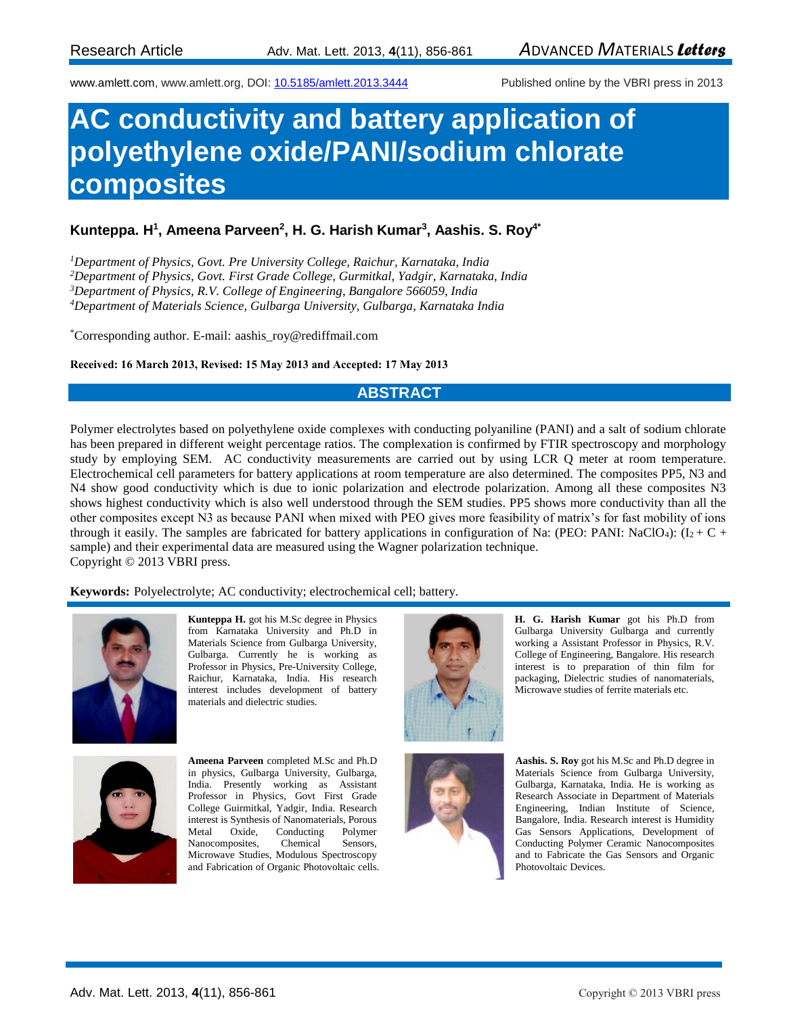www.amlett.com, www.amlett.org, DOI[: 10.5185/amlett.2013.3444](http://dx.doi.org/10.5185/amlett.2013.3444) Published online by the VBRI press in 2013

# **AC conductivity and battery application of polyethylene oxide/PANI/sodium chlorate composites**

### **Kunteppa. H<sup>1</sup> , Ameena Parveen<sup>2</sup> , H. G. Harish Kumar<sup>3</sup> , Aashis. S. Roy4\***

*Department of Physics, Govt. Pre University College, Raichur, Karnataka, India Department of Physics, Govt. First Grade College, Gurmitkal, Yadgir, Karnataka, India Department of Physics, R.V. College of Engineering, Bangalore 566059, India Department of Materials Science, Gulbarga University, Gulbarga, Karnataka India*

\*Corresponding author. E-mail: [aashis\\_roy@rediffmail.com](mailto:aashis_roy@rediffmail.com) 

#### **Received: 16 March 2013, Revised: 15 May 2013 and Accepted: 17 May 2013**

#### **ABSTRACT**

Polymer electrolytes based on polyethylene oxide complexes with conducting polyaniline (PANI) and a salt of sodium chlorate has been prepared in different weight percentage ratios. The complexation is confirmed by FTIR spectroscopy and morphology study by employing SEM. AC conductivity measurements are carried out by using LCR Q meter at room temperature. Electrochemical cell parameters for battery applications at room temperature are also determined. The composites PP5, N3 and N4 show good conductivity which is due to ionic polarization and electrode polarization. Among all these composites N3 shows highest conductivity which is also well understood through the SEM studies. PP5 shows more conductivity than all the other composites except N3 as because PANI when mixed with PEO gives more feasibility of matrix's for fast mobility of ions through it easily. The samples are fabricated for battery applications in configuration of Na: (PEO: PANI: NaClO4):  $(I_2 + C +$ sample) and their experimental data are measured using the Wagner polarization technique. Copyright © 2013 VBRI press.

**Keywords:** Polyelectrolyte; AC conductivity; electrochemical cell; battery.



**Kunteppa H.** got his M.Sc degree in Physics from Karnataka University and Ph.D in Materials Science from Gulbarga University, Gulbarga. Currently he is working as Professor in Physics, Pre-University College, Raichur, Karnataka, India. His research interest includes development of battery materials and dielectric studies.



**Ameena Parveen** completed M.Sc and Ph.D in physics, Gulbarga University, Gulbarga, India. Presently working as Assistant Professor in Physics, Govt First Grade College Guirmitkal, Yadgir, India. Research interest is Synthesis of Nanomaterials, Porous Metal Oxide, Conducting Polymer Nanocomposites, Chemical Sensors, Microwave Studies, Modulous Spectroscopy and Fabrication of Organic Photovoltaic cells.





**H. G. Harish Kumar** got his Ph.D from



**Aashis. S. Roy** got his M.Sc and Ph.D degree in Materials Science from Gulbarga University, Gulbarga, Karnataka, India. He is working as Research Associate in Department of Materials Engineering, Indian Institute of Science, Bangalore, India. Research interest is Humidity Gas Sensors Applications, Development of Conducting Polymer Ceramic Nanocomposites and to Fabricate the Gas Sensors and Organic Photovoltaic Devices.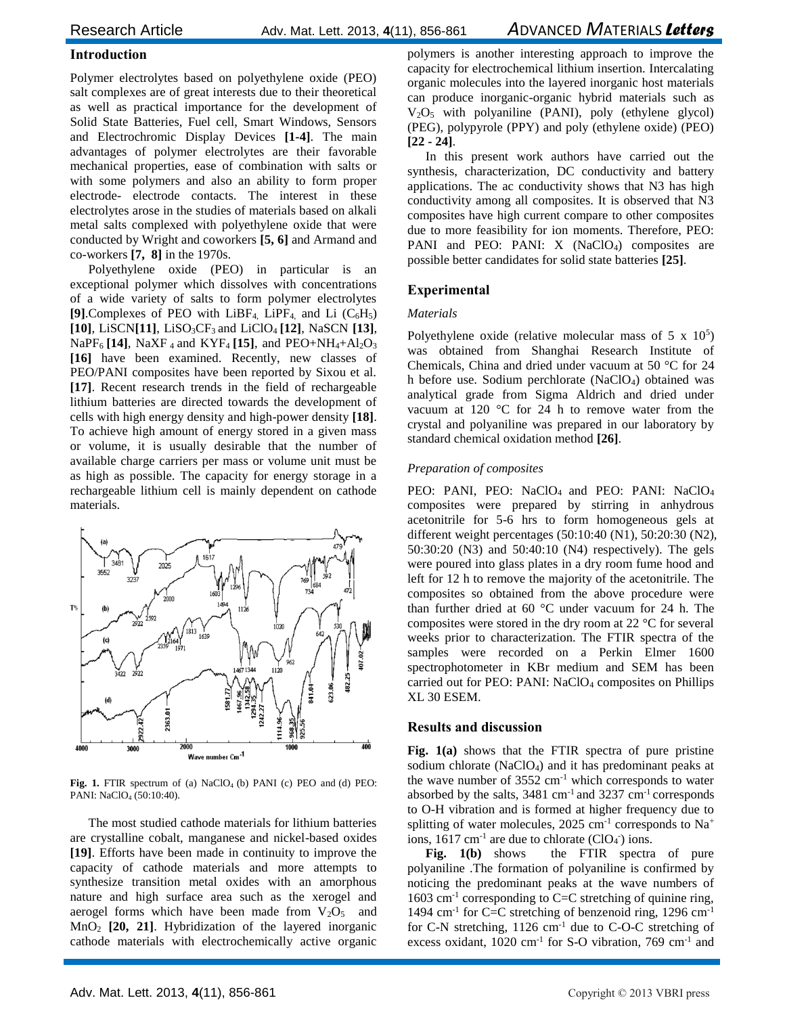#### **Introduction**

Polymer electrolytes based on polyethylene oxide (PEO) salt complexes are of great interests due to their theoretical as well as practical importance for the development of Solid State Batteries, Fuel cell, Smart Windows, Sensors and Electrochromic Display Devices **[1-4]**. The main advantages of polymer electrolytes are their favorable mechanical properties, ease of combination with salts or with some polymers and also an ability to form proper electrode- electrode contacts. The interest in these electrolytes arose in the studies of materials based on alkali metal salts complexed with polyethylene oxide that were conducted by Wright and coworkers **[5, 6]** and Armand and co-workers **[7, 8]** in the 1970s.

Polyethylene oxide (PEO) in particular is an exceptional polymer which dissolves with concentrations of a wide variety of salts to form polymer electrolytes [9].Complexes of PEO with LiBF<sub>4</sub>, LiPF<sub>4</sub>, and Li  $(C_6H_5)$  $[10]$ , LiSCN $[11]$ , LiSO<sub>3</sub>CF<sub>3</sub> and LiClO<sub>4</sub> $[12]$ , NaSCN $[13]$ ,  $NaPF_6$  [14], NaXF<sub>4</sub> and KYF<sub>4</sub> [15], and PEO+NH<sub>4</sub>+Al<sub>2</sub>O<sub>3</sub> **[16]** have been examined. Recently, new classes of PEO/PANI composites have been reported by Sixou et al. **[17]**. Recent research trends in the field of rechargeable lithium batteries are directed towards the development of cells with high energy density and high-power density **[18]**. To achieve high amount of energy stored in a given mass or volume, it is usually desirable that the number of available charge carriers per mass or volume unit must be as high as possible. The capacity for energy storage in a rechargeable lithium cell is mainly dependent on cathode materials.



Fig. 1. FTIR spectrum of (a) NaClO<sub>4</sub> (b) PANI (c) PEO and (d) PEO: PANI: NaClO<sub>4</sub> (50:10:40).

The most studied cathode materials for lithium batteries are crystalline cobalt, manganese and nickel-based oxides **[19]**. Efforts have been made in continuity to improve the capacity of cathode materials and more attempts to synthesize transition metal oxides with an amorphous nature and high surface area such as the xerogel and aerogel forms which have been made from  $V_2O_5$  and MnO<sup>2</sup> **[20, 21]**. Hybridization of the layered inorganic cathode materials with electrochemically active organic

polymers is another interesting approach to improve the capacity for electrochemical lithium insertion. Intercalating organic molecules into the layered inorganic host materials can produce inorganic-organic hybrid materials such as  $V_2O_5$  with polyaniline (PANI), poly (ethylene glycol) (PEG), polypyrole (PPY) and poly (ethylene oxide) (PEO) **[22 - 24]**.

In this present work authors have carried out the synthesis, characterization, DC conductivity and battery applications. The ac conductivity shows that N3 has high conductivity among all composites. It is observed that N3 composites have high current compare to other composites due to more feasibility for ion moments. Therefore, PEO: PANI and PEO: PANI: X (NaClO<sub>4</sub>) composites are possible better candidates for solid state batteries **[25]**.

#### **Experimental**

#### *Materials*

Polyethylene oxide (relative molecular mass of  $5 \times 10^5$ ) was obtained from Shanghai Research Institute of Chemicals, China and dried under vacuum at 50 °C for 24 h before use. Sodium perchlorate (NaClO4) obtained was analytical grade from Sigma Aldrich and dried under vacuum at 120 °C for 24 h to remove water from the crystal and polyaniline was prepared in our laboratory by standard chemical oxidation method **[26]**.

#### *Preparation of composites*

PEO: PANI, PEO: NaClO<sub>4</sub> and PEO: PANI: NaClO<sub>4</sub> composites were prepared by stirring in anhydrous acetonitrile for 5-6 hrs to form homogeneous gels at different weight percentages (50:10:40 (N1), 50:20:30 (N2), 50:30:20 (N3) and 50:40:10 (N4) respectively). The gels were poured into glass plates in a dry room fume hood and left for 12 h to remove the majority of the acetonitrile. The composites so obtained from the above procedure were than further dried at 60 °C under vacuum for 24 h. The composites were stored in the dry room at 22 °C for several weeks prior to characterization. The FTIR spectra of the samples were recorded on a Perkin Elmer 1600 spectrophotometer in KBr medium and SEM has been carried out for PEO: PANI: NaClO<sub>4</sub> composites on Phillips XL 30 ESEM.

#### **Results and discussion**

**Fig. 1(a)** shows that the FTIR spectra of pure pristine sodium chlorate  $(NaClO<sub>4</sub>)$  and it has predominant peaks at the wave number of  $3552 \text{ cm}^{-1}$  which corresponds to water absorbed by the salts,  $3481 \text{ cm}^{-1}$  and  $3237 \text{ cm}^{-1}$  corresponds to O-H vibration and is formed at higher frequency due to splitting of water molecules, 2025 cm<sup>-1</sup> corresponds to  $Na<sup>+</sup>$ ions,  $1617 \text{ cm}^{-1}$  are due to chlorate (ClO<sub>4</sub><sup>-</sup>) ions.

**Fig. 1(b)** shows the FTIR spectra of pure polyaniline .The formation of polyaniline is confirmed by noticing the predominant peaks at the wave numbers of 1603 cm<sup>-1</sup> corresponding to C=C stretching of quinine ring, 1494 cm<sup>-1</sup> for C=C stretching of benzenoid ring, 1296 cm<sup>-1</sup> for C-N stretching, 1126 cm-1 due to C-O-C stretching of excess oxidant, 1020 cm<sup>-1</sup> for S-O vibration, 769 cm<sup>-1</sup> and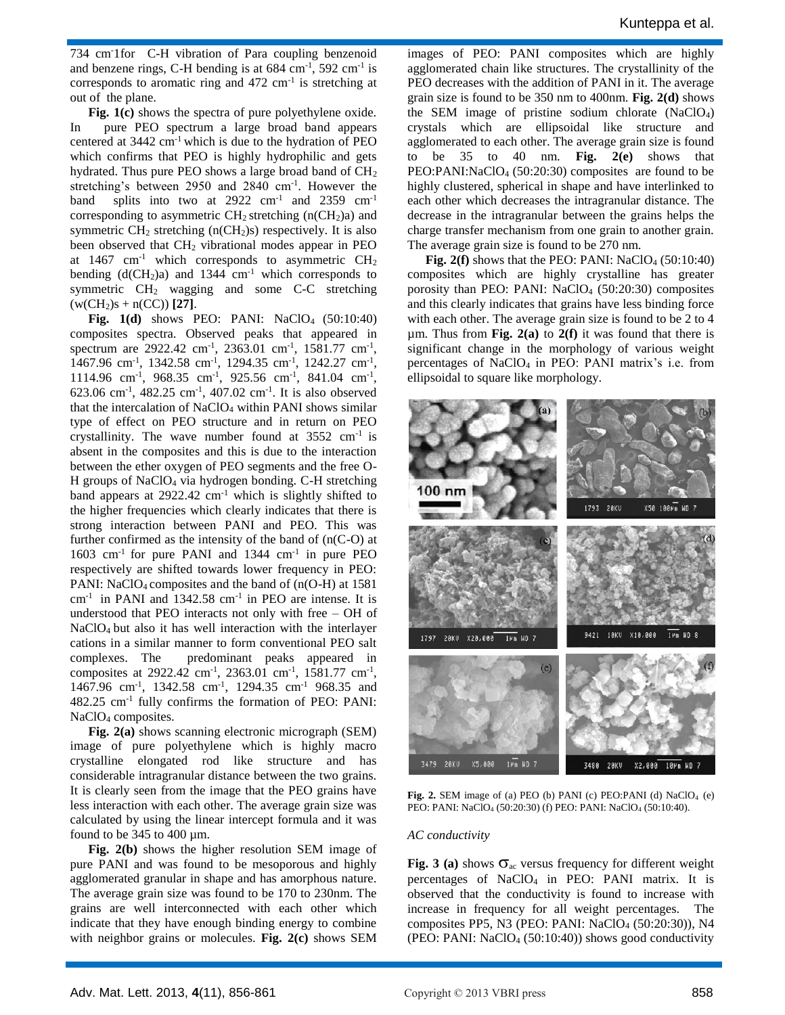734 cm-1for C-H vibration of Para coupling benzenoid and benzene rings, C-H bending is at  $684 \text{ cm}^{-1}$ ,  $592 \text{ cm}^{-1}$  is corresponds to aromatic ring and  $472 \text{ cm}^{-1}$  is stretching at out of the plane.

**Fig. 1(c)** shows the spectra of pure polyethylene oxide. In pure PEO spectrum a large broad band appears centered at 3442 cm-1 which is due to the hydration of PEO which confirms that PEO is highly hydrophilic and gets hydrated. Thus pure PEO shows a large broad band of CH<sup>2</sup> stretching's between 2950 and 2840 cm<sup>-1</sup>. However the band splits into two at  $2922 \text{ cm}^{-1}$  and  $2359 \text{ cm}^{-1}$ corresponding to asymmetric  $CH_2$  stretching (n( $CH_2$ )a) and symmetric  $CH<sub>2</sub>$  stretching (n(CH<sub>2</sub>)s) respectively. It is also been observed that CH<sup>2</sup> vibrational modes appear in PEO at 1467 cm<sup>-1</sup> which corresponds to asymmetric  $CH<sub>2</sub>$ bending  $(d(CH<sub>2</sub>)a)$  and 1344 cm<sup>-1</sup> which corresponds to symmetric CH<sup>2</sup> wagging and some C-C stretching  $(w(CH<sub>2</sub>)s + n(CC))$  [27].

**Fig.**  $1(d)$  shows PEO: PANI: NaClO<sub>4</sub> (50:10:40) composites spectra. Observed peaks that appeared in spectrum are  $2922.42 \text{ cm}^{-1}$ ,  $2363.01 \text{ cm}^{-1}$ ,  $1581.77 \text{ cm}^{-1}$ , 1467.96 cm<sup>-1</sup>, 1342.58 cm<sup>-1</sup>, 1294.35 cm<sup>-1</sup>, 1242.27 cm<sup>-1</sup>, 1114.96 cm<sup>-1</sup>, 968.35 cm<sup>-1</sup>, 925.56 cm<sup>-1</sup>, 841.04 cm<sup>-1</sup>, 623.06 cm-1 , 482.25 cm-1 , 407.02 cm-1 . It is also observed that the intercalation of NaClO<sub>4</sub> within PANI shows similar type of effect on PEO structure and in return on PEO crystallinity. The wave number found at  $3552 \text{ cm}^{-1}$  is absent in the composites and this is due to the interaction between the ether oxygen of PEO segments and the free O-H groups of NaClO<sup>4</sup> via hydrogen bonding. C-H stretching band appears at 2922.42 cm<sup>-1</sup> which is slightly shifted to the higher frequencies which clearly indicates that there is strong interaction between PANI and PEO. This was further confirmed as the intensity of the band of (n(C-O) at 1603 cm<sup>-1</sup> for pure PANI and 1344 cm<sup>-1</sup> in pure PEO respectively are shifted towards lower frequency in PEO: PANI: NaClO<sub>4</sub> composites and the band of  $(n(O-H))$  at 1581 cm-1 in PANI and 1342.58 cm-1 in PEO are intense. It is understood that PEO interacts not only with free – OH of NaClO4 but also it has well interaction with the interlayer cations in a similar manner to form conventional PEO salt complexes. The predominant peaks appeared in composites at 2922.42 cm<sup>-1</sup>, 2363.01 cm<sup>-1</sup>, 1581.77 cm<sup>-1</sup>, 1467.96 cm<sup>-1</sup>, 1342.58 cm<sup>-1</sup>, 1294.35 cm<sup>-1</sup> 968.35 and 482.25 cm-1 fully confirms the formation of PEO: PANI: NaClO<sub>4</sub> composites.

**Fig. 2(a)** shows scanning electronic micrograph (SEM) image of pure polyethylene which is highly macro crystalline elongated rod like structure and has considerable intragranular distance between the two grains. It is clearly seen from the image that the PEO grains have less interaction with each other. The average grain size was calculated by using the linear intercept formula and it was found to be  $345$  to  $400 \mu m$ .

**Fig. 2(b)** shows the higher resolution SEM image of pure PANI and was found to be mesoporous and highly agglomerated granular in shape and has amorphous nature. The average grain size was found to be 170 to 230nm. The grains are well interconnected with each other which indicate that they have enough binding energy to combine with neighbor grains or molecules. **Fig. 2(c)** shows SEM

images of PEO: PANI composites which are highly agglomerated chain like structures. The crystallinity of the PEO decreases with the addition of PANI in it. The average grain size is found to be 350 nm to 400nm. **Fig. 2(d)** shows the SEM image of pristine sodium chlorate (NaClO4) crystals which are ellipsoidal like structure and agglomerated to each other. The average grain size is found to be 35 to 40 nm. **Fig. 2(e)** shows that  $PEO:PANI:NaClO<sub>4</sub>$  (50:20:30) composites are found to be highly clustered, spherical in shape and have interlinked to each other which decreases the intragranular distance. The decrease in the intragranular between the grains helps the charge transfer mechanism from one grain to another grain. The average grain size is found to be 270 nm.

**Fig.**  $2(f)$  shows that the PEO: PANI: NaClO<sub>4</sub> (50:10:40) composites which are highly crystalline has greater porosity than PEO: PANI: NaClO<sup>4</sup> (50:20:30) composites and this clearly indicates that grains have less binding force with each other. The average grain size is found to be 2 to 4 µm. Thus from **Fig. 2(a)** to **2(f)** it was found that there is significant change in the morphology of various weight percentages of NaClO<sup>4</sup> in PEO: PANI matrix's i.e. from ellipsoidal to square like morphology.



**Fig.** 2. SEM image of (a) PEO (b) PANI (c) PEO:PANI (d)  $NaClO<sub>4</sub>$  (e) PEO: PANI: NaClO<sub>4</sub> (50:20:30) (f) PEO: PANI: NaClO<sub>4</sub> (50:10:40).

#### *AC conductivity*

**Fig. 3** (a) shows  $\sigma_{ac}$  versus frequency for different weight percentages of NaClO<sup>4</sup> in PEO: PANI matrix. It is observed that the conductivity is found to increase with increase in frequency for all weight percentages. The composites PP5, N3 (PEO: PANI: NaClO<sup>4</sup> (50:20:30)), N4 (PEO: PANI:  $NaClO<sub>4</sub>$  (50:10:40)) shows good conductivity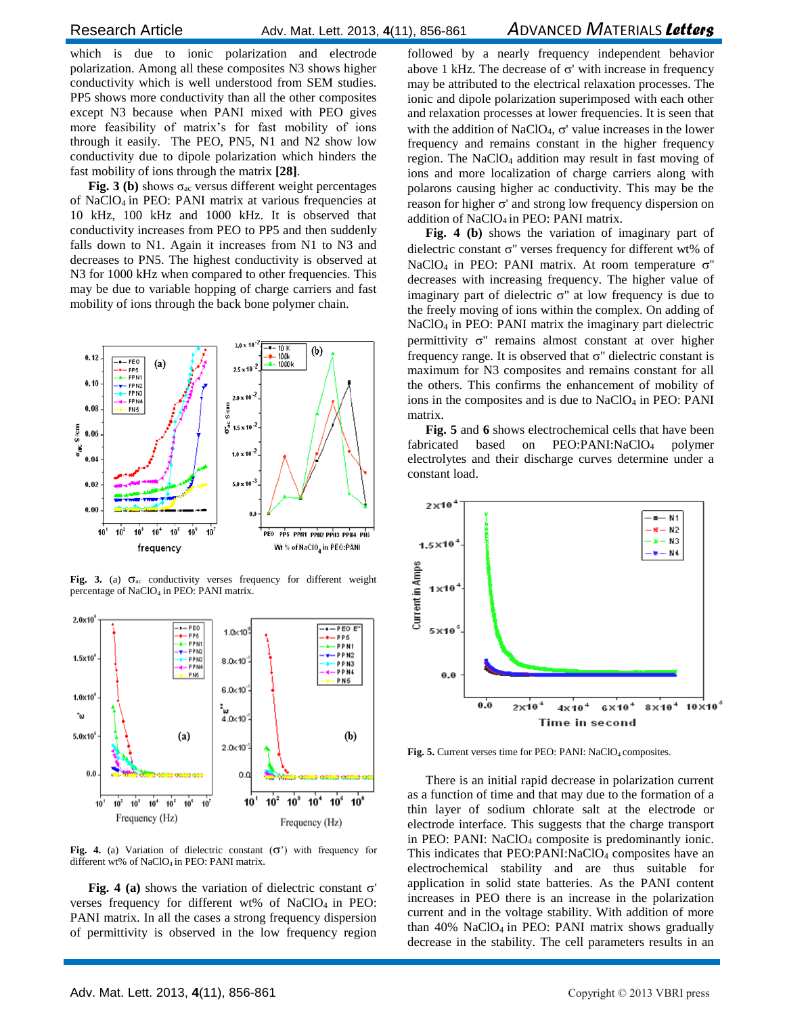which is due to ionic polarization and electrode polarization. Among all these composites N3 shows higher conductivity which is well understood from SEM studies. PP5 shows more conductivity than all the other composites except N3 because when PANI mixed with PEO gives more feasibility of matrix's for fast mobility of ions through it easily. The PEO, PN5, N1 and N2 show low conductivity due to dipole polarization which hinders the fast mobility of ions through the matrix **[28]**.

**Fig. 3** (b) shows  $\sigma_{ac}$  versus different weight percentages of NaClO4 in PEO: PANI matrix at various frequencies at 10 kHz, 100 kHz and 1000 kHz. It is observed that conductivity increases from PEO to PP5 and then suddenly falls down to N1. Again it increases from N1 to N3 and decreases to PN5. The highest conductivity is observed at N3 for 1000 kHz when compared to other frequencies. This may be due to variable hopping of charge carriers and fast mobility of ions through the back bone polymer chain.



Fig. 3. (a)  $\sigma_{ac}$  conductivity verses frequency for different weight percentage of NaClO<sub>4</sub> in PEO: PANI matrix.



Fig. 4. (a) Variation of dielectric constant  $(\sigma')$  with frequency for different wt% of NaClO<sub>4</sub> in PEO: PANI matrix.

**Fig. 4 (a)** shows the variation of dielectric constant  $\sigma'$ verses frequency for different wt% of  $NaClO<sub>4</sub>$  in PEO: PANI matrix. In all the cases a strong frequency dispersion of permittivity is observed in the low frequency region followed by a nearly frequency independent behavior above 1 kHz. The decrease of  $\sigma'$  with increase in frequency may be attributed to the electrical relaxation processes. The ionic and dipole polarization superimposed with each other and relaxation processes at lower frequencies. It is seen that with the addition of NaClO<sub>4</sub>,  $\sigma'$  value increases in the lower frequency and remains constant in the higher frequency region. The NaClO<sup>4</sup> addition may result in fast moving of ions and more localization of charge carriers along with polarons causing higher ac conductivity. This may be the reason for higher  $\sigma'$  and strong low frequency dispersion on addition of  $NaClO<sub>4</sub>$  in PEO: PANI matrix.

**Fig. 4 (b)** shows the variation of imaginary part of dielectric constant  $\sigma$ " verses frequency for different wt% of NaClO<sub>4</sub> in PEO: PANI matrix. At room temperature  $\sigma$ " decreases with increasing frequency. The higher value of imaginary part of dielectric  $\sigma$ " at low frequency is due to the freely moving of ions within the complex. On adding of NaClO<sub>4</sub> in PEO: PANI matrix the imaginary part dielectric permittivity  $\sigma$ " remains almost constant at over higher frequency range. It is observed that  $\sigma$ " dielectric constant is maximum for N3 composites and remains constant for all the others. This confirms the enhancement of mobility of ions in the composites and is due to  $NaClO<sub>4</sub>$  in PEO: PANI matrix.

**Fig. 5** and **6** shows electrochemical cells that have been fabricated based on PEO:PANI:NaClO<sup>4</sup> polymer electrolytes and their discharge curves determine under a constant load.



Fig. 5. Current verses time for PEO: PANI: NaClO<sub>4</sub> composites.

There is an initial rapid decrease in polarization current as a function of time and that may due to the formation of a thin layer of sodium chlorate salt at the electrode or electrode interface. This suggests that the charge transport in PEO: PANI: NaClO<sup>4</sup> composite is predominantly ionic. This indicates that PEO:PANI:NaClO<sub>4</sub> composites have an electrochemical stability and are thus suitable for application in solid state batteries. As the PANI content increases in PEO there is an increase in the polarization current and in the voltage stability. With addition of more than  $40\%$  NaClO<sub>4</sub> in PEO: PANI matrix shows gradually decrease in the stability. The cell parameters results in an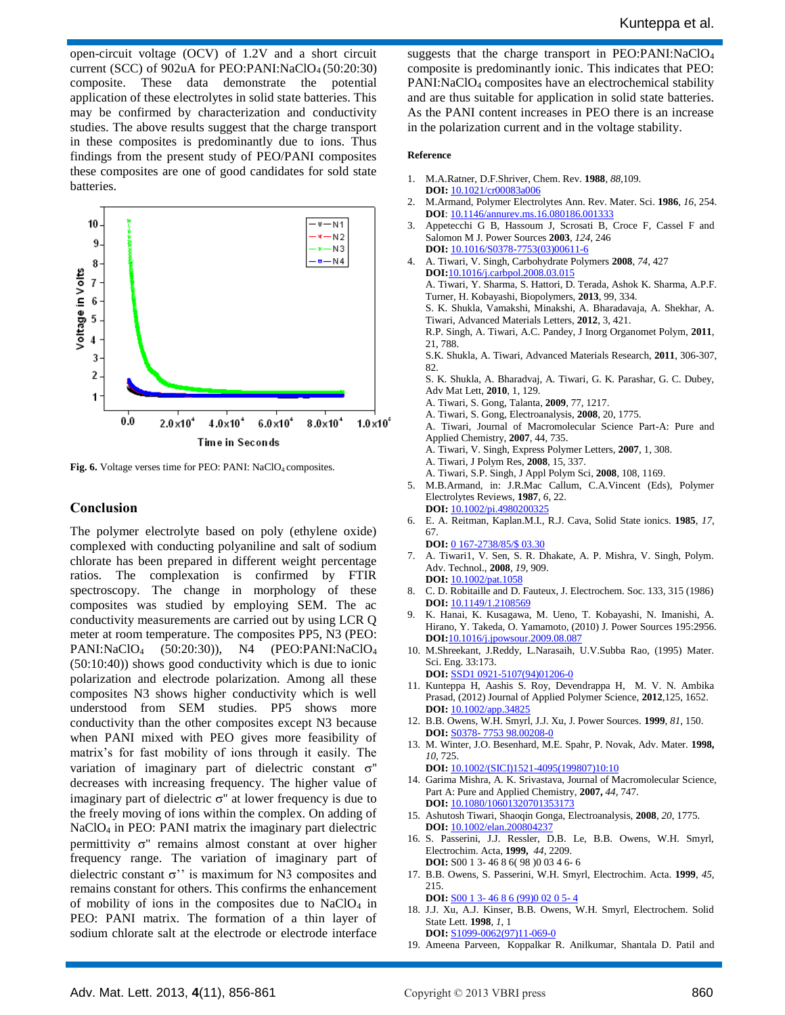open-circuit voltage (OCV) of 1.2V and a short circuit current (SCC) of 902uA for PEO:PANI:NaClO4 (50:20:30) composite. These data demonstrate the potential application of these electrolytes in solid state batteries. This may be confirmed by characterization and conductivity studies. The above results suggest that the charge transport in these composites is predominantly due to ions. Thus findings from the present study of PEO/PANI composites these composites are one of good candidates for sold state batteries.



**Fig. 6.** Voltage verses time for PEO: PANI: NaClO<sub>4</sub> composites.

#### **Conclusion**

The polymer electrolyte based on poly (ethylene oxide) complexed with conducting polyaniline and salt of sodium chlorate has been prepared in different weight percentage ratios. The complexation is confirmed by FTIR spectroscopy. The change in morphology of these composites was studied by employing SEM. The ac conductivity measurements are carried out by using LCR Q meter at room temperature. The composites PP5, N3 (PEO: PANI:NaClO<sup>4</sup> (50:20:30)), N4 (PEO:PANI:NaClO<sup>4</sup> (50:10:40)) shows good conductivity which is due to ionic polarization and electrode polarization. Among all these composites N3 shows higher conductivity which is well understood from SEM studies. PP5 shows more conductivity than the other composites except N3 because when PANI mixed with PEO gives more feasibility of matrix's for fast mobility of ions through it easily. The variation of imaginary part of dielectric constant  $\sigma$ " decreases with increasing frequency. The higher value of imaginary part of dielectric  $\sigma''$  at lower frequency is due to the freely moving of ions within the complex. On adding of NaClO<sub>4</sub> in PEO: PANI matrix the imaginary part dielectric permittivity  $\sigma$ " remains almost constant at over higher frequency range. The variation of imaginary part of dielectric constant  $\sigma$ " is maximum for N3 composites and remains constant for others. This confirms the enhancement of mobility of ions in the composites due to  $NaClO<sub>4</sub>$  in PEO: PANI matrix. The formation of a thin layer of sodium chlorate salt at the electrode or electrode interface

suggests that the charge transport in PEO:PANI:NaClO<sup>4</sup> composite is predominantly ionic. This indicates that PEO: PANI:NaClO<sup>4</sup> composites have an electrochemical stability and are thus suitable for application in solid state batteries. As the PANI content increases in PEO there is an increase in the polarization current and in the voltage stability.

#### **Reference**

- 1. M.A.Ratner, D.F.Shriver, Chem. Rev. **1988**, *88,*109. **DOI:** 10.1021/cr00083a006
- 2. M.Armand, Polymer Electrolytes Ann. Rev. Mater. Sci. **1986**, *16,* 254. **DOI**: 10.1146/annurev.ms.16.080186.001333
- 3. Appetecchi G B, Hassoum J, Scrosati B, Croce F, Cassel F and Salomon M J. Power Sources **2003**, *124,* 246 **DOI:** 10.1016/S0378-7753(03)00611-6
- 4. A. Tiwari, V. Singh, Carbohydrate Polymers **2008**, *74*, 427 **DOI:**10.1016/j.carbpol.2008.03.015 A. Tiwari, Y. Sharma, S. Hattori, D. Terada, Ashok K. Sharma, A.P.F. Turner, H. Kobayashi, Biopolymers, **2013**, 99, 334. S. K. Shukla, Vamakshi, Minakshi, A. Bharadavaja, A. Shekhar, A. Tiwari, Advanced Materials Letters, **2012**, 3, 421. R.P. Singh, A. Tiwari, A.C. Pandey, J Inorg Organomet Polym, **2011**, 21, 788. S.K. Shukla, A. Tiwari, Advanced Materials Research, **2011**, 306-307, 82. S. K. Shukla, A. Bharadvaj, A. Tiwari, G. K. Parashar, G. C. Dubey, Adv Mat Lett, **2010**, 1, 129. A. Tiwari, S. Gong, Talanta, **2009**, 77, 1217. A. Tiwari, S. Gong, Electroanalysis, **2008**, 20, 1775. A. Tiwari, Journal of Macromolecular Science Part-A: Pure and Applied Chemistry, **2007**, 44, 735. A. Tiwari, V. Singh, Express Polymer Letters, **2007**, 1, 308. A. Tiwari, J Polym Res, **2008**, 15, 337. A. Tiwari, S.P. Singh, J Appl Polym Sci, **2008**, 108, 1169. 5. M.B.Armand, in: J.R.Mac Callum, C.A.Vincent (Eds), Polymer
	- Electrolytes Reviews, **1987**, *6*, 22.
	- **DOI:** 10.1002/pi.4980200325
- 6. E. A. Reitman, Kaplan.M.I., R.J. Cava, Solid State ionics. **1985**, *17*, 67.
- **DOI:** 0 167-2738/85/\$ 03.30 7. A. Tiwari1, V. Sen, S. R. Dhakate, A. P. Mishra, V. Singh, Polym. Adv. Technol., **2008**, *19*, 909.
- **DOI:** 10.1002/pat.1058 8. C. D. Robitaille and D. Fauteux, J. Electrochem. Soc. 133, 315 (1986) **DOI:** 10.1149/1.2108569
- 9. K. Hanai, K. Kusagawa, M. Ueno, T. Kobayashi, N. Imanishi, A. Hirano, Y. Takeda, O. Yamamoto, (2010) J. Power Sources 195:2956. **DOI:**10.1016/j.jpowsour.2009.08.087
- 10. M.Shreekant, J.Reddy, L.Narasaih, U.V.Subba Rao, (1995) Mater. Sci. Eng. 33:173.
- **DOI:** SSD1 0921-5107(94)01206-0 11. Kunteppa H, Aashis S. Roy, Devendrappa H, M. V. N. Ambika Prasad, (2012) Journal of Applied Polymer Science, **2012**,125, 1652.
- **DOI:** 10.1002/app.34825 12. B.B. Owens, W.H. Smyrl, J.J. Xu, J. Power Sources. **1999**, *81*, 150.
- **DOI:** S0378- 7753 98.00208-0
- 13. M. Winter, J.O. Besenhard, M.E. Spahr, P. Novak, Adv. Mater. **1998,** *10*, 725.

**DOI:** 10.1002/(SICI)1521-4095(199807)10:10

- 14. Garima Mishra, A. K. Srivastava, Journal of Macromolecular Science, Part A: Pure and Applied Chemistry, **2007,** *44*, 747. **DOI:** 10.1080/10601320701353173
- 15. Ashutosh Tiwari, Shaoqin Gonga, Electroanalysis, **2008**, *20*, 1775. **DOI:** 10.1002/elan.200804237
- 16. S. Passerini, J.J. Ressler, D.B. Le, B.B. Owens, W.H. Smyrl, Electrochim. Acta, **1999,** *44,* 2209. **DOI:** S00 1 3- 46 8 6( 98 )0 03 4 6- 6
- 17. B.B. Owens, S. Passerini, W.H. Smyrl, Electrochim. Acta. **1999**, *45,*  215.

**DOI:** S00 1 3- 46 8 6 (99)0 02 0 5- 4

- 18. J.J. Xu, A.J. Kinser, B.B. Owens, W.H. Smyrl, Electrochem. Solid State Lett. **1998**, *1*, 1 **DOI:** S1099-0062(97)11-069-0
- 19. Ameena Parveen, Koppalkar R. Anilkumar, Shantala D. Patil and